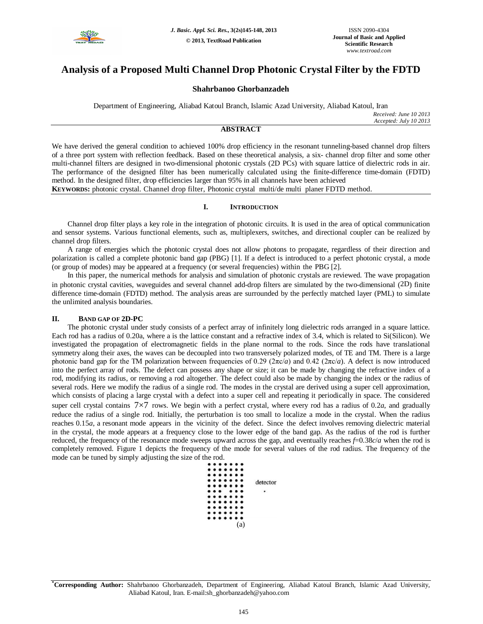

# **Analysis of a Proposed Multi Channel Drop Photonic Crystal Filter by the FDTD**

# **Shahrbanoo Ghorbanzadeh**

Department of Engineering, Aliabad Katoul Branch, Islamic Azad University, Aliabad Katoul, Iran

*Received: June 10 2013 Accepted: July 10 2013*

# **ABSTRACT**

We have derived the general condition to achieved 100% drop efficiency in the resonant tunneling-based channel drop filters of a three port system with reflection feedback. Based on these theoretical analysis, a six- channel drop filter and some other multi-channel filters are designed in two-dimensional photonic crystals (2D PCs) with square lattice of dielectric rods in air. The performance of the designed filter has been numerically calculated using the finite-difference time-domain (FDTD) method. In the designed filter, drop efficiencies larger than 95% in all channels have been achieved

**KEYWORDS:** photonic crystal. Channel drop filter, Photonic crystal multi/de multi planer FDTD method.

## **I. INTRODUCTION**

Channel drop filter plays a key role in the integration of photonic circuits. It is used in the area of optical communication and sensor systems. Various functional elements, such as, multiplexers, switches, and directional coupler can be realized by channel drop filters.

A range of energies which the photonic crystal does not allow photons to propagate, regardless of their direction and polarization is called a complete photonic band gap (PBG) [1]. If a defect is introduced to a perfect photonic crystal, a mode (or group of modes) may be appeared at a frequency (or several frequencies) within the PBG [2].

In this paper, the numerical methods for analysis and simulation of photonic crystals are reviewed. The wave propagation in photonic crystal cavities, waveguides and several channel add-drop filters are simulated by the two-dimensional (2D) finite difference time-domain (FDTD) method. The analysis areas are surrounded by the perfectly matched layer (PML) to simulate the unlimited analysis boundaries.

## **II. BAND GAP OF 2D-PC**

The photonic crystal under study consists of a perfect array of infinitely long dielectric rods arranged in a square lattice. Each rod has a radius of 0.20a, where a is the lattice constant and a refractive index of 3.4, which is related to Si(Silicon). We investigated the propagation of electromagnetic fields in the plane normal to the rods. Since the rods have translational symmetry along their axes, the waves can be decoupled into two transversely polarized modes, of TE and TM. There is a large photonic band gap for the TM polarization between frequencies of 0.29 (2πc/*a*) and 0.42 (2πc/*a*). A defect is now introduced into the perfect array of rods. The defect can possess any shape or size; it can be made by changing the refractive index of a rod, modifying its radius, or removing a rod altogether. The defect could also be made by changing the index or the radius of several rods. Here we modify the radius of a single rod. The modes in the crystal are derived using a super cell approximation, which consists of placing a large crystal with a defect into a super cell and repeating it periodically in space. The considered super cell crystal contains 7×7 rows. We begin with a perfect crystal, where every rod has a radius of 0.2*a*, and gradually reduce the radius of a single rod. Initially, the perturbation is too small to localize a mode in the crystal. When the radius reaches 0.15*a*, a resonant mode appears in the vicinity of the defect. Since the defect involves removing dielectric material in the crystal, the mode appears at a frequency close to the lower edge of the band gap. As the radius of the rod is further reduced, the frequency of the resonance mode sweeps upward across the gap, and eventually reaches *f*=0.38*c*/*a* when the rod is completely removed. Figure 1 depicts the frequency of the mode for several values of the rod radius. The frequency of the mode can be tuned by simply adjusting the size of the rod.



**\*Corresponding Author:** Shahrbanoo Ghorbanzadeh, Department of Engineering, Aliabad Katoul Branch, Islamic Azad University, Aliabad Katoul, Iran. E-mail:sh\_ghorbanzadeh@yahoo.com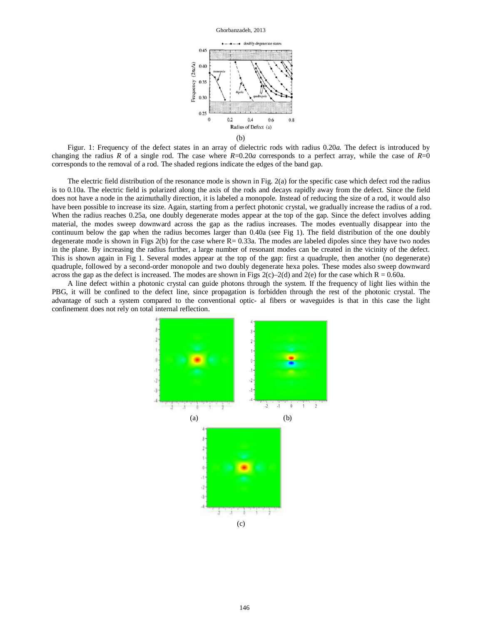

Figur. 1: Frequency of the defect states in an array of dielectric rods with radius 0.20*a*. The defect is introduced by changing the radius *R* of a single rod. The case where  $R=0.20a$  corresponds to a perfect array, while the case of  $R=0$ corresponds to the removal of a rod. The shaded regions indicate the edges of the band gap.

The electric field distribution of the resonance mode is shown in Fig. 2(a) for the specific case which defect rod the radius is to 0.10a. The electric field is polarized along the axis of the rods and decays rapidly away from the defect. Since the field does not have a node in the azimuthally direction, it is labeled a monopole. Instead of reducing the size of a rod, it would also have been possible to increase its size. Again, starting from a perfect photonic crystal, we gradually increase the radius of a rod. When the radius reaches 0.25a, one doubly degenerate modes appear at the top of the gap. Since the defect involves adding material, the modes sweep downward across the gap as the radius increases. The modes eventually disappear into the continuum below the gap when the radius becomes larger than 0.40a (see Fig 1). The field distribution of the one doubly degenerate mode is shown in Figs  $2(b)$  for the case where  $R = 0.33a$ . The modes are labeled dipoles since they have two nodes in the plane. By increasing the radius further, a large number of resonant modes can be created in the vicinity of the defect. This is shown again in Fig 1. Several modes appear at the top of the gap: first a quadruple, then another (no degenerate) quadruple, followed by a second-order monopole and two doubly degenerate hexa poles. These modes also sweep downward across the gap as the defect is increased. The modes are shown in Figs 2(c)–2(d) and 2(e) for the case which  $R = 0.60a$ .

A line defect within a photonic crystal can guide photons through the system. If the frequency of light lies within the PBG, it will be confined to the defect line, since propagation is forbidden through the rest of the photonic crystal. The advantage of such a system compared to the conventional optic- al fibers or waveguides is that in this case the light confinement does not rely on total internal reflection.

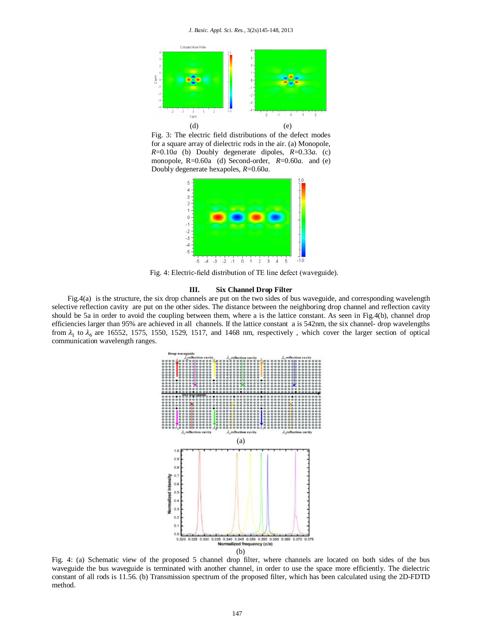

Fig. 3: The electric field distributions of the defect modes for a square array of dielectric rods in the air. (a) Monopole, *R*=0.10*a* (b) Doubly degenerate dipoles, *R*=0.33*a*. (c) monopole, R=0.60a (d) Second-order, *R*=0.60*a*. and (e) Doubly degenerate hexapoles, *R*=0.60*a*.



Fig. 4: Electric-field distribution of TE line defect (waveguide).

#### **III. Six Channel Drop Filter**

Fig.4(a) is the structure, the six drop channels are put on the two sides of bus waveguide, and corresponding wavelength selective reflection cavity are put on the other sides. The distance between the neighboring drop channel and reflection cavity should be 5a in order to avoid the coupling between them, where a is the lattice constant. As seen in Fig.4(b), channel drop efficiencies larger than 95% are achieved in all channels. If the lattice constant a is 542nm, the six channel- drop wavelengths from  $\lambda_1$  to  $\lambda_6$  are 16552, 1575, 1550, 1529, 1517, and 1468 nm, respectively, which cover the larger section of optical communication wavelength ranges.



Fig. 4: (a) Schematic view of the proposed 5 channel drop filter, where channels are located on both sides of the bus waveguide the bus waveguide is terminated with another channel, in order to use the space more efficiently. The dielectric constant of all rods is 11.56. (b) Transmission spectrum of the proposed filter, which has been calculated using the 2D-FDTD method.